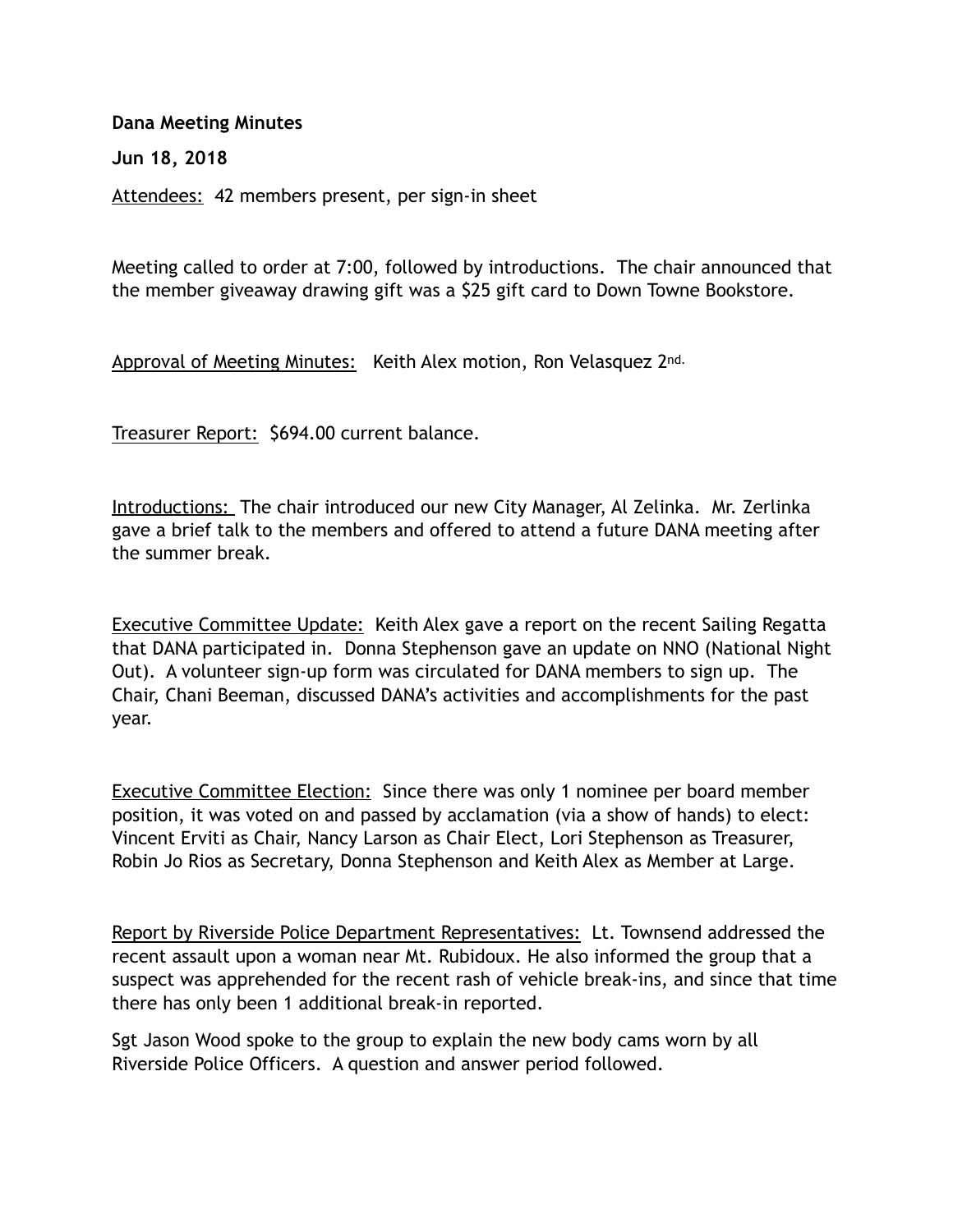## **Dana Meeting Minutes**

**Jun 18, 2018** 

Attendees: 42 members present, per sign-in sheet

Meeting called to order at 7:00, followed by introductions. The chair announced that the member giveaway drawing gift was a \$25 gift card to Down Towne Bookstore.

Approval of Meeting Minutes: Keith Alex motion, Ron Velasquez 2nd.

Treasurer Report: \$694.00 current balance.

Introductions: The chair introduced our new City Manager, Al Zelinka. Mr. Zerlinka gave a brief talk to the members and offered to attend a future DANA meeting after the summer break.

Executive Committee Update: Keith Alex gave a report on the recent Sailing Regatta that DANA participated in. Donna Stephenson gave an update on NNO (National Night Out). A volunteer sign-up form was circulated for DANA members to sign up. The Chair, Chani Beeman, discussed DANA's activities and accomplishments for the past year.

Executive Committee Election: Since there was only 1 nominee per board member position, it was voted on and passed by acclamation (via a show of hands) to elect: Vincent Erviti as Chair, Nancy Larson as Chair Elect, Lori Stephenson as Treasurer, Robin Jo Rios as Secretary, Donna Stephenson and Keith Alex as Member at Large.

Report by Riverside Police Department Representatives: Lt. Townsend addressed the recent assault upon a woman near Mt. Rubidoux. He also informed the group that a suspect was apprehended for the recent rash of vehicle break-ins, and since that time there has only been 1 additional break-in reported.

Sgt Jason Wood spoke to the group to explain the new body cams worn by all Riverside Police Officers. A question and answer period followed.